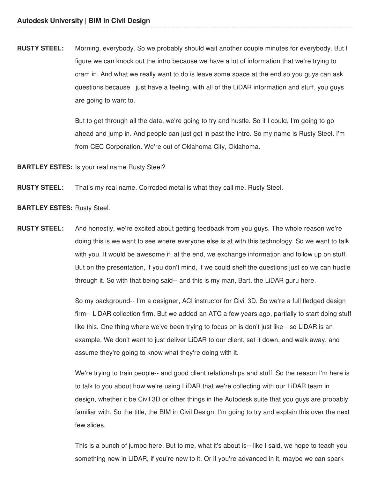**RUSTY STEEL:** Morning, everybody. So we probably should wait another couple minutes for everybody. But I figure we can knock out the intro because we have a lot of information that we're trying to cram in. And what we really want to do is leave some space at the end so you guys can ask questions because I just have a feeling, with all of the LiDAR information and stuff, you guys are going to want to.

> But to get through all the data, we're going to try and hustle. So if I could, I'm going to go ahead and jump in. And people can just get in past the intro. So my name is Rusty Steel. I'm from CEC Corporation. We're out of Oklahoma City, Oklahoma.

**BARTLEY ESTES:** Is your real name Rusty Steel?

**RUSTY STEEL:** That's my real name. Corroded metal is what they call me. Rusty Steel.

- **BARTLEY ESTES:** Rusty Steel.
- **RUSTY STEEL:** And honestly, we're excited about getting feedback from you guys. The whole reason we're doing this is we want to see where everyone else is at with this technology. So we want to talk with you. It would be awesome if, at the end, we exchange information and follow up on stuff. But on the presentation, if you don't mind, if we could shelf the questions just so we can hustle through it. So with that being said-- and this is my man, Bart, the LiDAR guru here.

So my background-- I'm a designer, ACI instructor for Civil 3D. So we're a full fledged design firm-- LiDAR collection firm. But we added an ATC a few years ago, partially to start doing stuff like this. One thing where we've been trying to focus on is don't just like-- so LiDAR is an example. We don't want to just deliver LiDAR to our client, set it down, and walk away, and assume they're going to know what they're doing with it.

We're trying to train people-- and good client relationships and stuff. So the reason I'm here is to talk to you about how we're using LiDAR that we're collecting with our LiDAR team in design, whether it be Civil 3D or other things in the Autodesk suite that you guys are probably familiar with. So the title, the BIM in Civil Design. I'm going to try and explain this over the next few slides.

This is a bunch of jumbo here. But to me, what it's about is-- like I said, we hope to teach you something new in LiDAR, if you're new to it. Or if you're advanced in it, maybe we can spark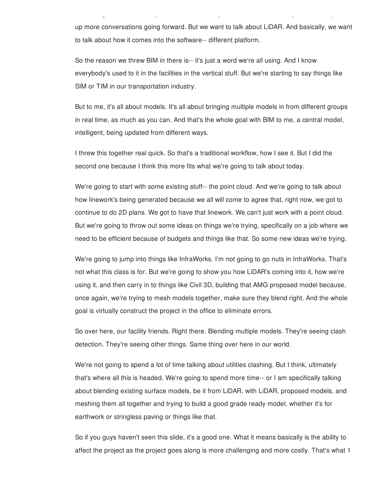up more conversations going forward. But we want to talk about LiDAR. And basically, we want to talk about how it comes into the software-- different platform.

something new in LiDAR, if you're new to it. Or if you're advanced in it, maybe we can spark

So the reason we threw BIM in there is-- it's just a word we're all using. And I know everybody's used to it in the facilities in the vertical stuff. But we're starting to say things like SIM or TIM in our transportation industry.

But to me, it's all about models. It's all about bringing multiple models in from different groups in real time, as much as you can. And that's the whole goal with BIM to me, a central model, intelligent, being updated from different ways.

I threw this together real quick. So that's a traditional workflow, how I see it. But I did the second one because I think this more fits what we're going to talk about today.

We're going to start with some existing stuff-- the point cloud. And we're going to talk about how linework's being generated because we all will come to agree that, right now, we got to continue to do 2D plans. We got to have that linework. We can't just work with a point cloud. But we're going to throw out some ideas on things we're trying, specifically on a job where we need to be efficient because of budgets and things like that. So some new ideas we're trying.

We're going to jump into things like InfraWorks. I'm not going to go nuts in InfraWorks. That's not what this class is for. But we're going to show you how LiDAR's coming into it, how we're using it, and then carry in to things like Civil 3D, building that AMG proposed model because, once again, we're trying to mesh models together, make sure they blend right. And the whole goal is virtually construct the project in the office to eliminate errors.

So over here, our facility friends. Right there. Blending multiple models. They're seeing clash detection. They're seeing other things. Same thing over here in our world.

We're not going to spend a lot of time talking about utilities clashing. But I think, ultimately that's where all this is headed. We're going to spend more time-- or I am specifically talking about blending existing surface models, be it from LiDAR, with LiDAR, proposed models, and meshing them all together and trying to build a good grade ready model, whether it's for earthwork or stringless paving or things like that.

So if you guys haven't seen this slide, it's a good one. What it means basically is the ability to affect the project as the project goes along is more challenging and more costly. That's what 1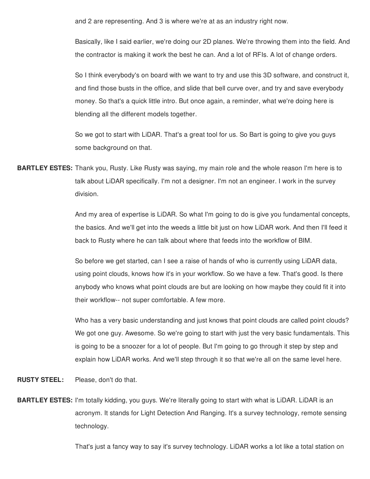and 2 are representing. And 3 is where we're at as an industry right now.

Basically, like I said earlier, we're doing our 2D planes. We're throwing them into the field. And the contractor is making it work the best he can. And a lot of RFIs. A lot of change orders.

So I think everybody's on board with we want to try and use this 3D software, and construct it, and find those busts in the office, and slide that bell curve over, and try and save everybody money. So that's a quick little intro. But once again, a reminder, what we're doing here is blending all the different models together.

So we got to start with LiDAR. That's a great tool for us. So Bart is going to give you guys some background on that.

**BARTLEY ESTES:** Thank you, Rusty. Like Rusty was saying, my main role and the whole reason I'm here is to talk about LiDAR specifically. I'm not a designer. I'm not an engineer. I work in the survey division.

> And my area of expertise is LiDAR. So what I'm going to do is give you fundamental concepts, the basics. And we'll get into the weeds a little bit just on how LiDAR work. And then I'll feed it back to Rusty where he can talk about where that feeds into the workflow of BIM.

So before we get started, can I see a raise of hands of who is currently using LiDAR data, using point clouds, knows how it's in your workflow. So we have a few. That's good. Is there anybody who knows what point clouds are but are looking on how maybe they could fit it into their workflow-- not super comfortable. A few more.

Who has a very basic understanding and just knows that point clouds are called point clouds? We got one guy. Awesome. So we're going to start with just the very basic fundamentals. This is going to be a snoozer for a lot of people. But I'm going to go through it step by step and explain how LiDAR works. And we'll step through it so that we're all on the same level here.

**RUSTY STEEL:** Please, don't do that.

**BARTLEY ESTES:** I'm totally kidding, you guys. We're literally going to start with what is LiDAR. LiDAR is an acronym. It stands for Light Detection And Ranging. It's a survey technology, remote sensing technology.

That's just a fancy way to say it's survey technology. LiDAR works a lot like a total station on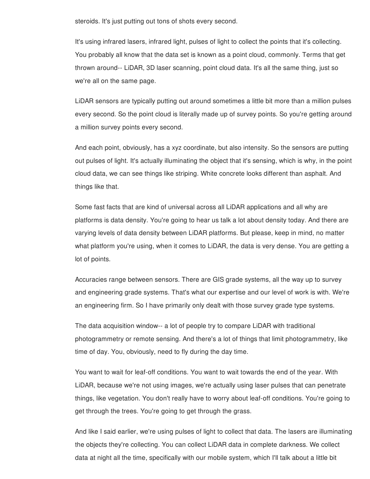steroids. It's just putting out tons of shots every second.

It's using infrared lasers, infrared light, pulses of light to collect the points that it's collecting. You probably all know that the data set is known as a point cloud, commonly. Terms that get thrown around-- LiDAR, 3D laser scanning, point cloud data. It's all the same thing, just so we're all on the same page.

LiDAR sensors are typically putting out around sometimes a little bit more than a million pulses every second. So the point cloud is literally made up of survey points. So you're getting around a million survey points every second.

And each point, obviously, has a xyz coordinate, but also intensity. So the sensors are putting out pulses of light. It's actually illuminating the object that it's sensing, which is why, in the point cloud data, we can see things like striping. White concrete looks different than asphalt. And things like that.

Some fast facts that are kind of universal across all LiDAR applications and all why are platforms is data density. You're going to hear us talk a lot about density today. And there are varying levels of data density between LiDAR platforms. But please, keep in mind, no matter what platform you're using, when it comes to LiDAR, the data is very dense. You are getting a lot of points.

Accuracies range between sensors. There are GIS grade systems, all the way up to survey and engineering grade systems. That's what our expertise and our level of work is with. We're an engineering firm. So I have primarily only dealt with those survey grade type systems.

The data acquisition window-- a lot of people try to compare LiDAR with traditional photogrammetry or remote sensing. And there's a lot of things that limit photogrammetry, like time of day. You, obviously, need to fly during the day time.

You want to wait for leaf-off conditions. You want to wait towards the end of the year. With LiDAR, because we're not using images, we're actually using laser pulses that can penetrate things, like vegetation. You don't really have to worry about leaf-off conditions. You're going to get through the trees. You're going to get through the grass.

And like I said earlier, we're using pulses of light to collect that data. The lasers are illuminating the objects they're collecting. You can collect LiDAR data in complete darkness. We collect data at night all the time, specifically with our mobile system, which I'll talk about a little bit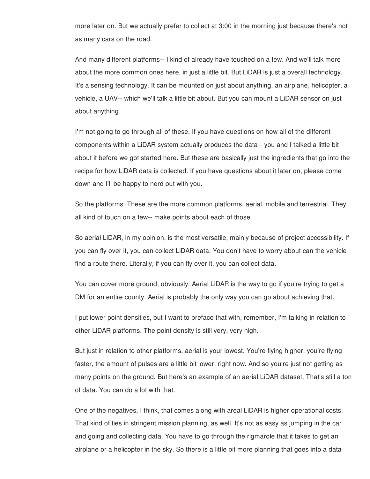more later on. But we actually prefer to collect at 3:00 in the morning just because there's not as many cars on the road.

And many different platforms-- I kind of already have touched on a few. And we'll talk more about the more common ones here, in just a little bit. But LiDAR is just a overall technology. It's a sensing technology. It can be mounted on just about anything, an airplane, helicopter, a vehicle, a UAV-- which we'll talk a little bit about. But you can mount a LiDAR sensor on just about anything.

I'm not going to go through all of these. If you have questions on how all of the different components within a LiDAR system actually produces the data-- you and I talked a little bit about it before we got started here. But these are basically just the ingredients that go into the recipe for how LiDAR data is collected. If you have questions about it later on, please come down and I'll be happy to nerd out with you.

So the platforms. These are the more common platforms, aerial, mobile and terrestrial. They all kind of touch on a few-- make points about each of those.

So aerial LiDAR, in my opinion, is the most versatile, mainly because of project accessibility. If you can fly over it, you can collect LiDAR data. You don't have to worry about can the vehicle find a route there. Literally, if you can fly over it, you can collect data.

You can cover more ground, obviously. Aerial LiDAR is the way to go if you're trying to get a DM for an entire county. Aerial is probably the only way you can go about achieving that.

I put lower point densities, but I want to preface that with, remember, I'm talking in relation to other LiDAR platforms. The point density is still very, very high.

But just in relation to other platforms, aerial is your lowest. You're flying higher, you're flying faster, the amount of pulses are a little bit lower, right now. And so you're just not getting as many points on the ground. But here's an example of an aerial LiDAR dataset. That's still a ton of data. You can do a lot with that.

One of the negatives, I think, that comes along with areal LiDAR is higher operational costs. That kind of ties in stringent mission planning, as well. It's not as easy as jumping in the car and going and collecting data. You have to go through the rigmarole that it takes to get an airplane or a helicopter in the sky. So there is a little bit more planning that goes into a data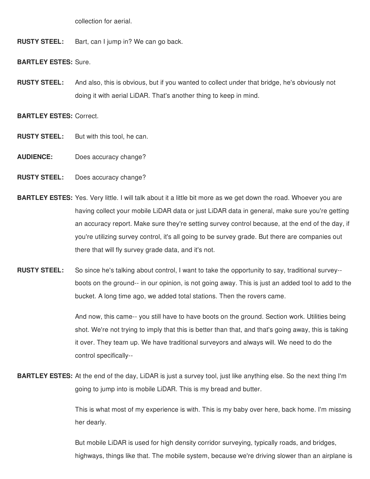collection for aerial.

**RUSTY STEEL:** Bart, can I jump in? We can go back.

**BARTLEY ESTES:** Sure.

**RUSTY STEEL:** And also, this is obvious, but if you wanted to collect under that bridge, he's obviously not doing it with aerial LiDAR. That's another thing to keep in mind.

**BARTLEY ESTES:** Correct.

- **RUSTY STEEL:** But with this tool, he can.
- **AUDIENCE:** Does accuracy change?
- **RUSTY STEEL:** Does accuracy change?
- **BARTLEY ESTES:** Yes. Very little. I will talk about it a little bit more as we get down the road. Whoever you are having collect your mobile LiDAR data or just LiDAR data in general, make sure you're getting an accuracy report. Make sure they're setting survey control because, at the end of the day, if you're utilizing survey control, it's all going to be survey grade. But there are companies out there that will fly survey grade data, and it's not.
- **RUSTY STEEL:** So since he's talking about control, I want to take the opportunity to say, traditional survey- boots on the ground-- in our opinion, is not going away. This is just an added tool to add to the bucket. A long time ago, we added total stations. Then the rovers came.

And now, this came-- you still have to have boots on the ground. Section work. Utilities being shot. We're not trying to imply that this is better than that, and that's going away, this is taking it over. They team up. We have traditional surveyors and always will. We need to do the control specifically--

**BARTLEY ESTES:** At the end of the day, LiDAR is just a survey tool, just like anything else. So the next thing I'm going to jump into is mobile LiDAR. This is my bread and butter.

> This is what most of my experience is with. This is my baby over here, back home. I'm missing her dearly.

> But mobile LiDAR is used for high density corridor surveying, typically roads, and bridges, highways, things like that. The mobile system, because we're driving slower than an airplane is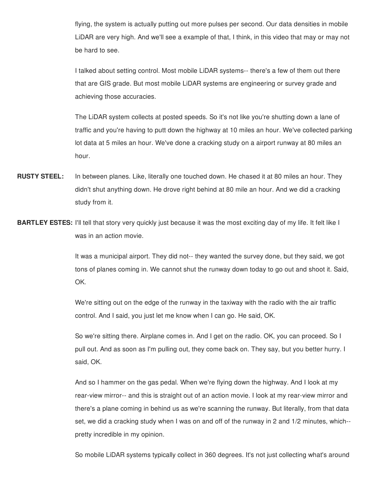flying, the system is actually putting out more pulses per second. Our data densities in mobile LiDAR are very high. And we'll see a example of that, I think, in this video that may or may not be hard to see.

I talked about setting control. Most mobile LiDAR systems-- there's a few of them out there that are GIS grade. But most mobile LiDAR systems are engineering or survey grade and achieving those accuracies.

The LiDAR system collects at posted speeds. So it's not like you're shutting down a lane of traffic and you're having to putt down the highway at 10 miles an hour. We've collected parking lot data at 5 miles an hour. We've done a cracking study on a airport runway at 80 miles an hour.

- **RUSTY STEEL:** In between planes. Like, literally one touched down. He chased it at 80 miles an hour. They didn't shut anything down. He drove right behind at 80 mile an hour. And we did a cracking study from it.
- **BARTLEY ESTES:** I'll tell that story very quickly just because it was the most exciting day of my life. It felt like I was in an action movie.

It was a municipal airport. They did not-- they wanted the survey done, but they said, we got tons of planes coming in. We cannot shut the runway down today to go out and shoot it. Said, OK.

We're sitting out on the edge of the runway in the taxiway with the radio with the air traffic control. And I said, you just let me know when I can go. He said, OK.

So we're sitting there. Airplane comes in. And I get on the radio. OK, you can proceed. So I pull out. And as soon as I'm pulling out, they come back on. They say, but you better hurry. I said, OK.

And so I hammer on the gas pedal. When we're flying down the highway. And I look at my rear-view mirror-- and this is straight out of an action movie. I look at my rear-view mirror and there's a plane coming in behind us as we're scanning the runway. But literally, from that data set, we did a cracking study when I was on and off of the runway in 2 and 1/2 minutes, which- pretty incredible in my opinion.

So mobile LiDAR systems typically collect in 360 degrees. It's not just collecting what's around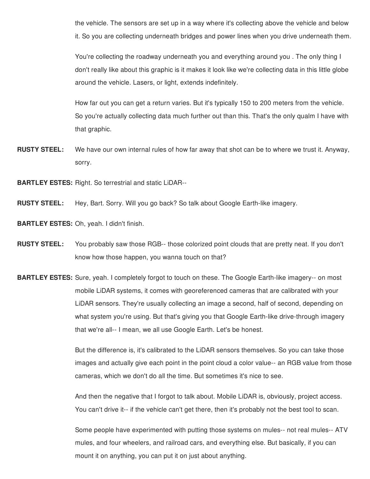the vehicle. The sensors are set up in a way where it's collecting above the vehicle and below it. So you are collecting underneath bridges and power lines when you drive underneath them.

You're collecting the roadway underneath you and everything around you . The only thing I don't really like about this graphic is it makes it look like we're collecting data in this little globe around the vehicle. Lasers, or light, extends indefinitely.

How far out you can get a return varies. But it's typically 150 to 200 meters from the vehicle. So you're actually collecting data much further out than this. That's the only qualm I have with that graphic.

**RUSTY STEEL:** We have our own internal rules of how far away that shot can be to where we trust it. Anyway, sorry.

**BARTLEY ESTES:** Right. So terrestrial and static LiDAR--

**RUSTY STEEL:** Hey, Bart. Sorry. Will you go back? So talk about Google Earth-like imagery.

**BARTLEY ESTES:** Oh, yeah. I didn't finish.

- **RUSTY STEEL:** You probably saw those RGB-- those colorized point clouds that are pretty neat. If you don't know how those happen, you wanna touch on that?
- **BARTLEY ESTES:** Sure, yeah. I completely forgot to touch on these. The Google Earth-like imagery-- on most mobile LiDAR systems, it comes with georeferenced cameras that are calibrated with your LiDAR sensors. They're usually collecting an image a second, half of second, depending on what system you're using. But that's giving you that Google Earth-like drive-through imagery that we're all-- I mean, we all use Google Earth. Let's be honest.

But the difference is, it's calibrated to the LiDAR sensors themselves. So you can take those images and actually give each point in the point cloud a color value-- an RGB value from those cameras, which we don't do all the time. But sometimes it's nice to see.

And then the negative that I forgot to talk about. Mobile LiDAR is, obviously, project access. You can't drive it-- if the vehicle can't get there, then it's probably not the best tool to scan.

Some people have experimented with putting those systems on mules-- not real mules-- ATV mules, and four wheelers, and railroad cars, and everything else. But basically, if you can mount it on anything, you can put it on just about anything.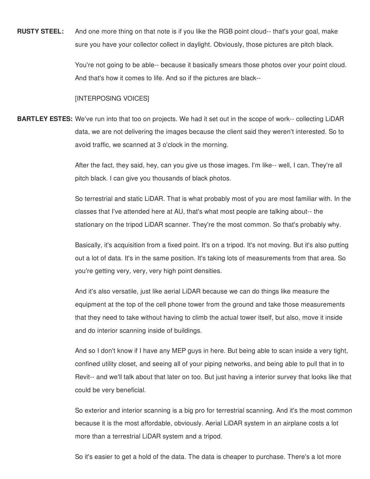**RUSTY STEEL:** And one more thing on that note is if you like the RGB point cloud-- that's your goal, make sure you have your collector collect in daylight. Obviously, those pictures are pitch black.

> You're not going to be able-- because it basically smears those photos over your point cloud. And that's how it comes to life. And so if the pictures are black--

## [INTERPOSING VOICES]

**BARTLEY ESTES:** We've run into that too on projects. We had it set out in the scope of work-- collecting LiDAR data, we are not delivering the images because the client said they weren't interested. So to avoid traffic, we scanned at 3 o'clock in the morning.

> After the fact, they said, hey, can you give us those images. I'm like-- well, I can. They're all pitch black. I can give you thousands of black photos.

So terrestrial and static LiDAR. That is what probably most of you are most familiar with. In the classes that I've attended here at AU, that's what most people are talking about-- the stationary on the tripod LiDAR scanner. They're the most common. So that's probably why.

Basically, it's acquisition from a fixed point. It's on a tripod. It's not moving. But it's also putting out a lot of data. It's in the same position. It's taking lots of measurements from that area. So you're getting very, very, very high point densities.

And it's also versatile, just like aerial LiDAR because we can do things like measure the equipment at the top of the cell phone tower from the ground and take those measurements that they need to take without having to climb the actual tower itself, but also, move it inside and do interior scanning inside of buildings.

And so I don't know if I have any MEP guys in here. But being able to scan inside a very tight, confined utility closet, and seeing all of your piping networks, and being able to pull that in to Revit-- and we'll talk about that later on too. But just having a interior survey that looks like that could be very beneficial.

So exterior and interior scanning is a big pro for terrestrial scanning. And it's the most common because it is the most affordable, obviously. Aerial LiDAR system in an airplane costs a lot more than a terrestrial LiDAR system and a tripod.

So it's easier to get a hold of the data. The data is cheaper to purchase. There's a lot more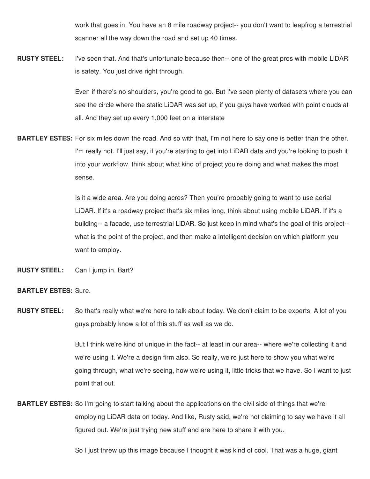work that goes in. You have an 8 mile roadway project-- you don't want to leapfrog a terrestrial scanner all the way down the road and set up 40 times.

**RUSTY STEEL:** I've seen that. And that's unfortunate because then-- one of the great pros with mobile LiDAR is safety. You just drive right through.

> Even if there's no shoulders, you're good to go. But I've seen plenty of datasets where you can see the circle where the static LiDAR was set up, if you guys have worked with point clouds at all. And they set up every 1,000 feet on a interstate

**BARTLEY ESTES:** For six miles down the road. And so with that, I'm not here to say one is better than the other. I'm really not. I'll just say, if you're starting to get into LiDAR data and you're looking to push it into your workflow, think about what kind of project you're doing and what makes the most sense.

> Is it a wide area. Are you doing acres? Then you're probably going to want to use aerial LiDAR. If it's a roadway project that's six miles long, think about using mobile LiDAR. If it's a building-- a facade, use terrestrial LiDAR. So just keep in mind what's the goal of this project- what is the point of the project, and then make a intelligent decision on which platform you want to employ.

**RUSTY STEEL:** Can I jump in, Bart?

## **BARTLEY ESTES:** Sure.

**RUSTY STEEL:** So that's really what we're here to talk about today. We don't claim to be experts. A lot of you guys probably know a lot of this stuff as well as we do.

> But I think we're kind of unique in the fact-- at least in our area-- where we're collecting it and we're using it. We're a design firm also. So really, we're just here to show you what we're going through, what we're seeing, how we're using it, little tricks that we have. So I want to just point that out.

**BARTLEY ESTES:** So I'm going to start talking about the applications on the civil side of things that we're employing LiDAR data on today. And like, Rusty said, we're not claiming to say we have it all figured out. We're just trying new stuff and are here to share it with you.

So I just threw up this image because I thought it was kind of cool. That was a huge, giant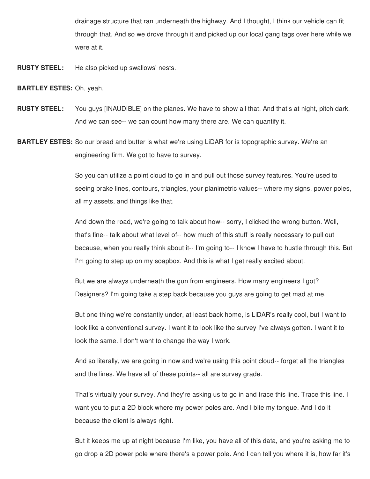drainage structure that ran underneath the highway. And I thought, I think our vehicle can fit through that. And so we drove through it and picked up our local gang tags over here while we were at it.

**RUSTY STEEL:** He also picked up swallows' nests.

**BARTLEY ESTES:** Oh, yeah.

- **RUSTY STEEL:** You guys [INAUDIBLE] on the planes. We have to show all that. And that's at night, pitch dark. And we can see-- we can count how many there are. We can quantify it.
- **BARTLEY ESTES:** So our bread and butter is what we're using LiDAR for is topographic survey. We're an engineering firm. We got to have to survey.

So you can utilize a point cloud to go in and pull out those survey features. You're used to seeing brake lines, contours, triangles, your planimetric values-- where my signs, power poles, all my assets, and things like that.

And down the road, we're going to talk about how-- sorry, I clicked the wrong button. Well, that's fine-- talk about what level of-- how much of this stuff is really necessary to pull out because, when you really think about it-- I'm going to-- I know I have to hustle through this. But I'm going to step up on my soapbox. And this is what I get really excited about.

But we are always underneath the gun from engineers. How many engineers I got? Designers? I'm going take a step back because you guys are going to get mad at me.

But one thing we're constantly under, at least back home, is LiDAR's really cool, but I want to look like a conventional survey. I want it to look like the survey I've always gotten. I want it to look the same. I don't want to change the way I work.

And so literally, we are going in now and we're using this point cloud-- forget all the triangles and the lines. We have all of these points-- all are survey grade.

That's virtually your survey. And they're asking us to go in and trace this line. Trace this line. I want you to put a 2D block where my power poles are. And I bite my tongue. And I do it because the client is always right.

But it keeps me up at night because I'm like, you have all of this data, and you're asking me to go drop a 2D power pole where there's a power pole. And I can tell you where it is, how far it's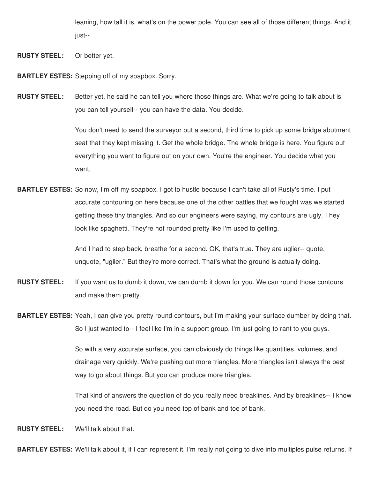leaning, how tall it is, what's on the power pole. You can see all of those different things. And it just--

**RUSTY STEEL:** Or better yet.

**BARTLEY ESTES:** Stepping off of my soapbox. Sorry.

**RUSTY STEEL:** Better yet, he said he can tell you where those things are. What we're going to talk about is you can tell yourself-- you can have the data. You decide.

> You don't need to send the surveyor out a second, third time to pick up some bridge abutment seat that they kept missing it. Get the whole bridge. The whole bridge is here. You figure out everything you want to figure out on your own. You're the engineer. You decide what you want.

**BARTLEY ESTES:** So now, I'm off my soapbox. I got to hustle because I can't take all of Rusty's time. I put accurate contouring on here because one of the other battles that we fought was we started getting these tiny triangles. And so our engineers were saying, my contours are ugly. They look like spaghetti. They're not rounded pretty like I'm used to getting.

> And I had to step back, breathe for a second. OK, that's true. They are uglier-- quote, unquote, "uglier." But they're more correct. That's what the ground is actually doing.

- **RUSTY STEEL:** If you want us to dumb it down, we can dumb it down for you. We can round those contours and make them pretty.
- **BARTLEY ESTES:** Yeah, I can give you pretty round contours, but I'm making your surface dumber by doing that. So I just wanted to-- I feel like I'm in a support group. I'm just going to rant to you guys.

So with a very accurate surface, you can obviously do things like quantities, volumes, and drainage very quickly. We're pushing out more triangles. More triangles isn't always the best way to go about things. But you can produce more triangles.

That kind of answers the question of do you really need breaklines. And by breaklines-- I know you need the road. But do you need top of bank and toe of bank.

**RUSTY STEEL:** We'll talk about that.

**BARTLEY ESTES:** We'll talk about it, if I can represent it. I'm really not going to dive into multiples pulse returns. If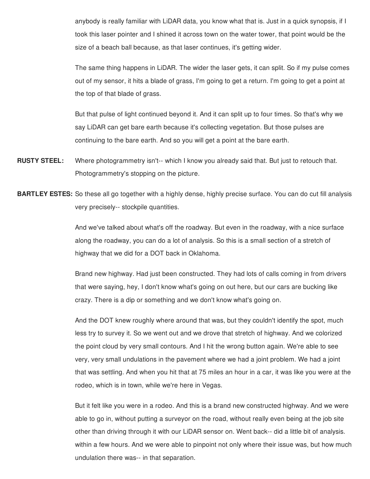anybody is really familiar with LiDAR data, you know what that is. Just in a quick synopsis, if I took this laser pointer and I shined it across town on the water tower, that point would be the size of a beach ball because, as that laser continues, it's getting wider.

The same thing happens in LiDAR. The wider the laser gets, it can split. So if my pulse comes out of my sensor, it hits a blade of grass, I'm going to get a return. I'm going to get a point at the top of that blade of grass.

But that pulse of light continued beyond it. And it can split up to four times. So that's why we say LiDAR can get bare earth because it's collecting vegetation. But those pulses are continuing to the bare earth. And so you will get a point at the bare earth.

- **RUSTY STEEL:** Where photogrammetry isn't-- which I know you already said that. But just to retouch that. Photogrammetry's stopping on the picture.
- **BARTLEY ESTES:** So these all go together with a highly dense, highly precise surface. You can do cut fill analysis very precisely-- stockpile quantities.

And we've talked about what's off the roadway. But even in the roadway, with a nice surface along the roadway, you can do a lot of analysis. So this is a small section of a stretch of highway that we did for a DOT back in Oklahoma.

Brand new highway. Had just been constructed. They had lots of calls coming in from drivers that were saying, hey, I don't know what's going on out here, but our cars are bucking like crazy. There is a dip or something and we don't know what's going on.

And the DOT knew roughly where around that was, but they couldn't identify the spot, much less try to survey it. So we went out and we drove that stretch of highway. And we colorized the point cloud by very small contours. And I hit the wrong button again. We're able to see very, very small undulations in the pavement where we had a joint problem. We had a joint that was settling. And when you hit that at 75 miles an hour in a car, it was like you were at the rodeo, which is in town, while we're here in Vegas.

But it felt like you were in a rodeo. And this is a brand new constructed highway. And we were able to go in, without putting a surveyor on the road, without really even being at the job site other than driving through it with our LiDAR sensor on. Went back-- did a little bit of analysis. within a few hours. And we were able to pinpoint not only where their issue was, but how much undulation there was-- in that separation.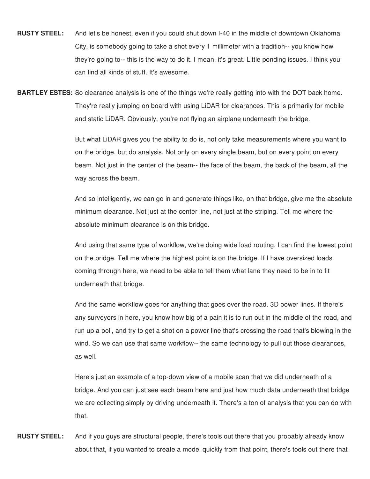**RUSTY STEEL:** And let's be honest, even if you could shut down I-40 in the middle of downtown Oklahoma City, is somebody going to take a shot every 1 millimeter with a tradition-- you know how they're going to-- this is the way to do it. I mean, it's great. Little ponding issues. I think you can find all kinds of stuff. It's awesome.

**BARTLEY ESTES:** So clearance analysis is one of the things we're really getting into with the DOT back home. They're really jumping on board with using LiDAR for clearances. This is primarily for mobile and static LiDAR. Obviously, you're not flying an airplane underneath the bridge.

> But what LiDAR gives you the ability to do is, not only take measurements where you want to on the bridge, but do analysis. Not only on every single beam, but on every point on every beam. Not just in the center of the beam-- the face of the beam, the back of the beam, all the way across the beam.

And so intelligently, we can go in and generate things like, on that bridge, give me the absolute minimum clearance. Not just at the center line, not just at the striping. Tell me where the absolute minimum clearance is on this bridge.

And using that same type of workflow, we're doing wide load routing. I can find the lowest point on the bridge. Tell me where the highest point is on the bridge. If I have oversized loads coming through here, we need to be able to tell them what lane they need to be in to fit underneath that bridge.

And the same workflow goes for anything that goes over the road. 3D power lines. If there's any surveyors in here, you know how big of a pain it is to run out in the middle of the road, and run up a poll, and try to get a shot on a power line that's crossing the road that's blowing in the wind. So we can use that same workflow-- the same technology to pull out those clearances, as well.

Here's just an example of a top-down view of a mobile scan that we did underneath of a bridge. And you can just see each beam here and just how much data underneath that bridge we are collecting simply by driving underneath it. There's a ton of analysis that you can do with that.

**RUSTY STEEL:** And if you guys are structural people, there's tools out there that you probably already know about that, if you wanted to create a model quickly from that point, there's tools out there that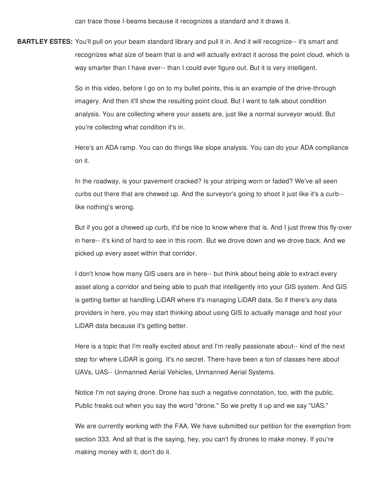can trace those I-beams because it recognizes a standard and it draws it.

**BARTLEY ESTES:** You'll pull on your beam standard library and pull it in. And it will recognize-- it's smart and recognizes what size of beam that is and will actually extract it across the point cloud, which is way smarter than I have ever-- than I could ever figure out. But it is very intelligent.

> So in this video, before I go on to my bullet points, this is an example of the drive-through imagery. And then it'll show the resulting point cloud. But I want to talk about condition analysis. You are collecting where your assets are, just like a normal surveyor would. But you're collecting what condition it's in.

Here's an ADA ramp. You can do things like slope analysis. You can do your ADA compliance on it.

In the roadway, is your pavement cracked? Is your striping worn or faded? We've all seen curbs out there that are chewed up. And the surveyor's going to shoot it just like it's a curb- like nothing's wrong.

But if you got a chewed up curb, it'd be nice to know where that is. And I just threw this fly-over in here-- it's kind of hard to see in this room. But we drove down and we drove back. And we picked up every asset within that corridor.

I don't know how many GIS users are in here-- but think about being able to extract every asset along a corridor and being able to push that intelligently into your GIS system. And GIS is getting better at handling LiDAR where it's managing LiDAR data. So if there's any data providers in here, you may start thinking about using GIS to actually manage and host your LiDAR data because it's getting better.

Here is a topic that I'm really excited about and I'm really passionate about-- kind of the next step for where LiDAR is going. It's no secret. There have been a ton of classes here about UAVs, UAS-- Unmanned Aerial Vehicles, Unmanned Aerial Systems.

Notice I'm not saying drone. Drone has such a negative connotation, too, with the public. Public freaks out when you say the word "drone." So we pretty it up and we say "UAS."

We are currently working with the FAA. We have submitted our petition for the exemption from section 333. And all that is the saying, hey, you can't fly drones to make money. If you're making money with it, don't do it.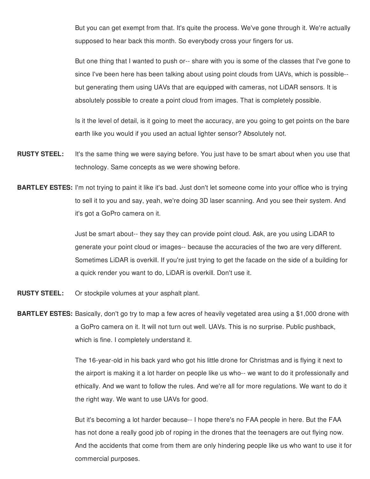But you can get exempt from that. It's quite the process. We've gone through it. We're actually supposed to hear back this month. So everybody cross your fingers for us.

But one thing that I wanted to push or-- share with you is some of the classes that I've gone to since I've been here has been talking about using point clouds from UAVs, which is possible- but generating them using UAVs that are equipped with cameras, not LiDAR sensors. It is absolutely possible to create a point cloud from images. That is completely possible.

Is it the level of detail, is it going to meet the accuracy, are you going to get points on the bare earth like you would if you used an actual lighter sensor? Absolutely not.

- **RUSTY STEEL:** It's the same thing we were saying before. You just have to be smart about when you use that technology. Same concepts as we were showing before.
- **BARTLEY ESTES:** I'm not trying to paint it like it's bad. Just don't let someone come into your office who is trying to sell it to you and say, yeah, we're doing 3D laser scanning. And you see their system. And it's got a GoPro camera on it.

Just be smart about-- they say they can provide point cloud. Ask, are you using LiDAR to generate your point cloud or images-- because the accuracies of the two are very different. Sometimes LiDAR is overkill. If you're just trying to get the facade on the side of a building for a quick render you want to do, LiDAR is overkill. Don't use it.

- **RUSTY STEEL:** Or stockpile volumes at your asphalt plant.
- **BARTLEY ESTES:** Basically, don't go try to map a few acres of heavily vegetated area using a \$1,000 drone with a GoPro camera on it. It will not turn out well. UAVs. This is no surprise. Public pushback, which is fine. I completely understand it.

The 16-year-old in his back yard who got his little drone for Christmas and is flying it next to the airport is making it a lot harder on people like us who-- we want to do it professionally and ethically. And we want to follow the rules. And we're all for more regulations. We want to do it the right way. We want to use UAVs for good.

But it's becoming a lot harder because-- I hope there's no FAA people in here. But the FAA has not done a really good job of roping in the drones that the teenagers are out flying now. And the accidents that come from them are only hindering people like us who want to use it for commercial purposes.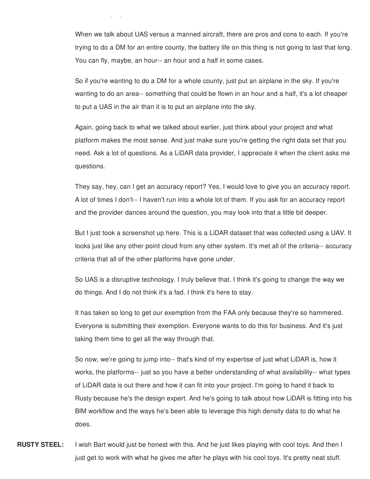When we talk about UAS versus a manned aircraft, there are pros and cons to each. If you're trying to do a DM for an entire county, the battery life on this thing is not going to last that long. You can fly, maybe, an hour-- an hour and a half in some cases.

commercial purposes.

So if you're wanting to do a DM for a whole county, just put an airplane in the sky. If you're wanting to do an area-- something that could be flown in an hour and a half, it's a lot cheaper to put a UAS in the air than it is to put an airplane into the sky.

Again, going back to what we talked about earlier, just think about your project and what platform makes the most sense. And just make sure you're getting the right data set that you need. Ask a lot of questions. As a LiDAR data provider, I appreciate it when the client asks me questions.

They say, hey, can I get an accuracy report? Yes, I would love to give you an accuracy report. A lot of times I don't-- I haven't run into a whole lot of them. If you ask for an accuracy report and the provider dances around the question, you may look into that a little bit deeper.

But I just took a screenshot up here. This is a LiDAR dataset that was collected using a UAV. It looks just like any other point cloud from any other system. It's met all of the criteria-- accuracy criteria that all of the other platforms have gone under.

So UAS is a disruptive technology. I truly believe that. I think it's going to change the way we do things. And I do not think it's a fad. I think it's here to stay.

It has taken so long to get our exemption from the FAA only because they're so hammered. Everyone is submitting their exemption. Everyone wants to do this for business. And it's just taking them time to get all the way through that.

So now, we're going to jump into-- that's kind of my expertise of just what LiDAR is, how it works, the platforms-- just so you have a better understanding of what availability-- what types of LiDAR data is out there and how it can fit into your project. I'm going to hand it back to Rusty because he's the design expert. And he's going to talk about how LiDAR is fitting into his BIM workflow and the ways he's been able to leverage this high density data to do what he does.

**RUSTY STEEL:** I wish Bart would just be honest with this. And he just likes playing with cool toys. And then I just get to work with what he gives me after he plays with his cool toys. It's pretty neat stuff.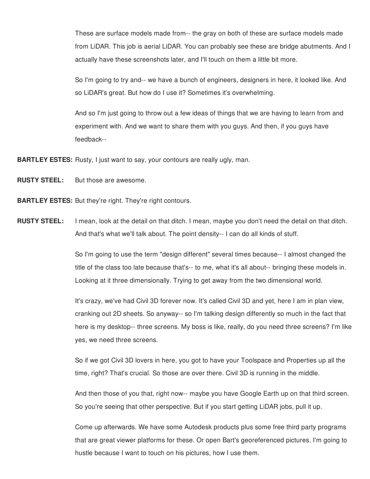These are surface models made from-- the gray on both of these are surface models made from LiDAR. This job is aerial LiDAR. You can probably see these are bridge abutments. And I actually have these screenshots later, and I'll touch on them a little bit more.

So I'm going to try and-- we have a bunch of engineers, designers in here, it looked like. And so LiDAR's great. But how do I use it? Sometimes it's overwhelming.

And so I'm just going to throw out a few ideas of things that we are having to learn from and experiment with. And we want to share them with you guys. And then, if you guys have feedback--

**BARTLEY ESTES:** Rusty, I just want to say, your contours are really ugly, man.

**RUSTY STEEL:** But those are awesome.

**BARTLEY ESTES:** But they're right. They're right contours.

**RUSTY STEEL:** I mean, look at the detail on that ditch. I mean, maybe you don't need the detail on that ditch. And that's what we'll talk about. The point density-- I can do all kinds of stuff.

> So I'm going to use the term "design different" several times because-- I almost changed the title of the class too late because that's-- to me, what it's all about-- bringing these models in. Looking at it three dimensionally. Trying to get away from the two dimensional world.

It's crazy, we've had Civil 3D forever now. It's called Civil 3D and yet, here I am in plan view, cranking out 2D sheets. So anyway-- so I'm talking design differently so much in the fact that here is my desktop-- three screens. My boss is like, really, do you need three screens? I'm like yes, we need three screens.

So if we got Civil 3D lovers in here, you got to have your Toolspace and Properties up all the time, right? That's crucial. So those are over there. Civil 3D is running in the middle.

And then those of you that, right now-- maybe you have Google Earth up on that third screen. So you're seeing that other perspective. But if you start getting LiDAR jobs, pull it up.

Come up afterwards. We have some Autodesk products plus some free third party programs that are great viewer platforms for these. Or open Bart's georeferenced pictures. I'm going to hustle because I want to touch on his pictures, how I use them.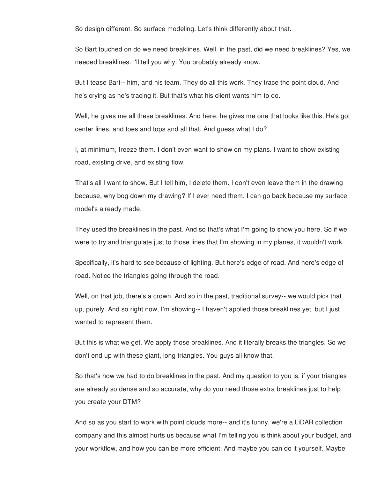So design different. So surface modeling. Let's think differently about that.

So Bart touched on do we need breaklines. Well, in the past, did we need breaklines? Yes, we needed breaklines. I'll tell you why. You probably already know.

But I tease Bart-- him, and his team. They do all this work. They trace the point cloud. And he's crying as he's tracing it. But that's what his client wants him to do.

Well, he gives me all these breaklines. And here, he gives me one that looks like this. He's got center lines, and toes and tops and all that. And guess what I do?

I, at minimum, freeze them. I don't even want to show on my plans. I want to show existing road, existing drive, and existing flow.

That's all I want to show. But I tell him, I delete them. I don't even leave them in the drawing because, why bog down my drawing? If I ever need them, I can go back because my surface model's already made.

They used the breaklines in the past. And so that's what I'm going to show you here. So if we were to try and triangulate just to those lines that I'm showing in my planes, it wouldn't work.

Specifically, it's hard to see because of lighting. But here's edge of road. And here's edge of road. Notice the triangles going through the road.

Well, on that job, there's a crown. And so in the past, traditional survey-- we would pick that up, purely. And so right now, I'm showing-- I haven't applied those breaklines yet, but I just wanted to represent them.

But this is what we get. We apply those breaklines. And it literally breaks the triangles. So we don't end up with these giant, long triangles. You guys all know that.

So that's how we had to do breaklines in the past. And my question to you is, if your triangles are already so dense and so accurate, why do you need those extra breaklines just to help you create your DTM?

And so as you start to work with point clouds more-- and it's funny, we're a LiDAR collection company and this almost hurts us because what I'm telling you is think about your budget, and your workflow, and how you can be more efficient. And maybe you can do it yourself. Maybe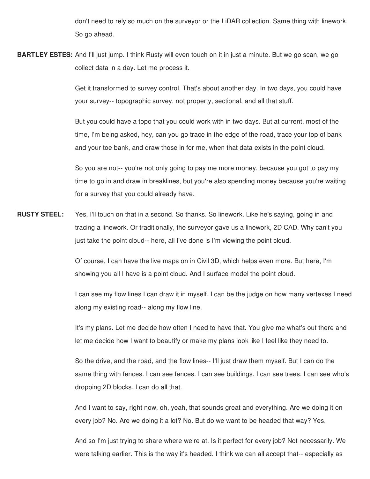don't need to rely so much on the surveyor or the LiDAR collection. Same thing with linework. So go ahead.

**BARTLEY ESTES:** And I'll just jump. I think Rusty will even touch on it in just a minute. But we go scan, we go collect data in a day. Let me process it.

> Get it transformed to survey control. That's about another day. In two days, you could have your survey-- topographic survey, not property, sectional, and all that stuff.

> But you could have a topo that you could work with in two days. But at current, most of the time, I'm being asked, hey, can you go trace in the edge of the road, trace your top of bank and your toe bank, and draw those in for me, when that data exists in the point cloud.

So you are not-- you're not only going to pay me more money, because you got to pay my time to go in and draw in breaklines, but you're also spending money because you're waiting for a survey that you could already have.

**RUSTY STEEL:** Yes, I'll touch on that in a second. So thanks. So linework. Like he's saying, going in and tracing a linework. Or traditionally, the surveyor gave us a linework, 2D CAD. Why can't you just take the point cloud-- here, all I've done is I'm viewing the point cloud.

> Of course, I can have the live maps on in Civil 3D, which helps even more. But here, I'm showing you all I have is a point cloud. And I surface model the point cloud.

I can see my flow lines I can draw it in myself. I can be the judge on how many vertexes I need along my existing road-- along my flow line.

It's my plans. Let me decide how often I need to have that. You give me what's out there and let me decide how I want to beautify or make my plans look like I feel like they need to.

So the drive, and the road, and the flow lines-- I'll just draw them myself. But I can do the same thing with fences. I can see fences. I can see buildings. I can see trees. I can see who's dropping 2D blocks. I can do all that.

And I want to say, right now, oh, yeah, that sounds great and everything. Are we doing it on every job? No. Are we doing it a lot? No. But do we want to be headed that way? Yes.

And so I'm just trying to share where we're at. Is it perfect for every job? Not necessarily. We were talking earlier. This is the way it's headed. I think we can all accept that-- especially as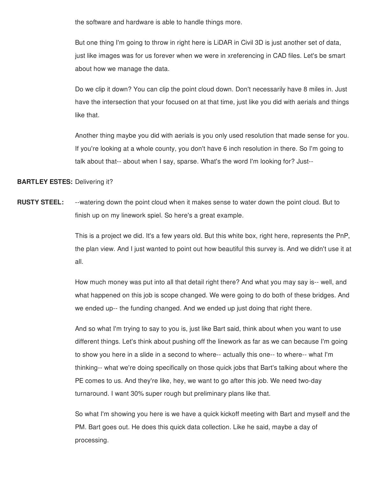the software and hardware is able to handle things more.

But one thing I'm going to throw in right here is LiDAR in Civil 3D is just another set of data, just like images was for us forever when we were in xreferencing in CAD files. Let's be smart about how we manage the data.

Do we clip it down? You can clip the point cloud down. Don't necessarily have 8 miles in. Just have the intersection that your focused on at that time, just like you did with aerials and things like that.

Another thing maybe you did with aerials is you only used resolution that made sense for you. If you're looking at a whole county, you don't have 6 inch resolution in there. So I'm going to talk about that-- about when I say, sparse. What's the word I'm looking for? Just--

**BARTLEY ESTES:** Delivering it?

**RUSTY STEEL:** --watering down the point cloud when it makes sense to water down the point cloud. But to finish up on my linework spiel. So here's a great example.

> This is a project we did. It's a few years old. But this white box, right here, represents the PnP, the plan view. And I just wanted to point out how beautiful this survey is. And we didn't use it at all.

> How much money was put into all that detail right there? And what you may say is-- well, and what happened on this job is scope changed. We were going to do both of these bridges. And we ended up-- the funding changed. And we ended up just doing that right there.

> And so what I'm trying to say to you is, just like Bart said, think about when you want to use different things. Let's think about pushing off the linework as far as we can because I'm going to show you here in a slide in a second to where-- actually this one-- to where-- what I'm thinking-- what we're doing specifically on those quick jobs that Bart's talking about where the PE comes to us. And they're like, hey, we want to go after this job. We need two-day turnaround. I want 30% super rough but preliminary plans like that.

> So what I'm showing you here is we have a quick kickoff meeting with Bart and myself and the PM. Bart goes out. He does this quick data collection. Like he said, maybe a day of processing.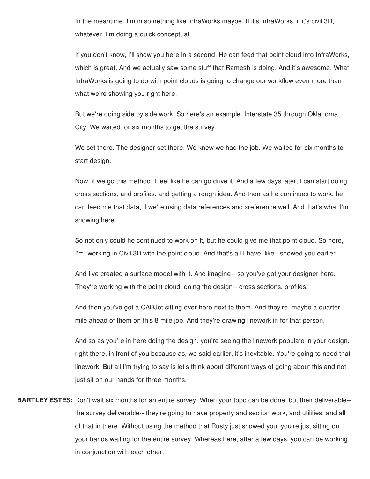In the meantime, I'm in something like InfraWorks maybe. If it's InfraWorks, if it's civil 3D, whatever. I'm doing a quick conceptual.

If you don't know, I'll show you here in a second. He can feed that point cloud into InfraWorks, which is great. And we actually saw some stuff that Ramesh is doing. And it's awesome. What InfraWorks is going to do with point clouds is going to change our workflow even more than what we're showing you right here.

But we're doing side by side work. So here's an example. Interstate 35 through Oklahoma City. We waited for six months to get the survey.

We set there. The designer set there. We knew we had the job. We waited for six months to start design.

Now, if we go this method, I feel like he can go drive it. And a few days later, I can start doing cross sections, and profiles, and getting a rough idea. And then as he continues to work, he can feed me that data, if we're using data references and xreference well. And that's what I'm showing here.

So not only could he continued to work on it, but he could give me that point cloud. So here, I'm, working in Civil 3D with the point cloud. And that's all I have, like I showed you earlier.

And I've created a surface model with it. And imagine-- so you've got your designer here. They're working with the point cloud, doing the design-- cross sections, profiles.

And then you've got a CADJet sitting over here next to them. And they're, maybe a quarter mile ahead of them on this 8 mile job. And they're drawing linework in for that person.

And so as you're in here doing the design, you're seeing the linework populate in your design, right there, in front of you because as, we said earlier, it's inevitable. You're going to need that linework. But all I'm trying to say is let's think about different ways of going about this and not just sit on our hands for three months.

**BARTLEY ESTES:** Don't wait six months for an entire survey. When your topo can be done, but their deliverable- the survey deliverable-- they're going to have property and section work, and utilities, and all of that in there. Without using the method that Rusty just showed you, you're just sitting on your hands waiting for the entire survey. Whereas here, after a few days, you can be working in conjunction with each other.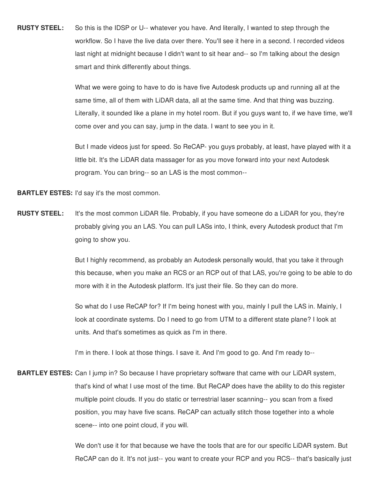**RUSTY STEEL:** So this is the IDSP or U-- whatever you have. And literally, I wanted to step through the workflow. So I have the live data over there. You'll see it here in a second. I recorded videos last night at midnight because I didn't want to sit hear and-- so I'm talking about the design smart and think differently about things.

> What we were going to have to do is have five Autodesk products up and running all at the same time, all of them with LiDAR data, all at the same time. And that thing was buzzing. Literally, it sounded like a plane in my hotel room. But if you guys want to, if we have time, we'll come over and you can say, jump in the data. I want to see you in it.

> But I made videos just for speed. So ReCAP- you guys probably, at least, have played with it a little bit. It's the LiDAR data massager for as you move forward into your next Autodesk program. You can bring-- so an LAS is the most common--

**BARTLEY ESTES:** I'd say it's the most common.

**RUSTY STEEL:** It's the most common LiDAR file. Probably, if you have someone do a LiDAR for you, they're probably giving you an LAS. You can pull LASs into, I think, every Autodesk product that I'm going to show you.

> But I highly recommend, as probably an Autodesk personally would, that you take it through this because, when you make an RCS or an RCP out of that LAS, you're going to be able to do more with it in the Autodesk platform. It's just their file. So they can do more.

So what do I use ReCAP for? If I'm being honest with you, mainly I pull the LAS in. Mainly, I look at coordinate systems. Do I need to go from UTM to a different state plane? I look at units. And that's sometimes as quick as I'm in there.

I'm in there. I look at those things. I save it. And I'm good to go. And I'm ready to--

**BARTLEY ESTES:** Can I jump in? So because I have proprietary software that came with our LiDAR system, that's kind of what I use most of the time. But ReCAP does have the ability to do this register multiple point clouds. If you do static or terrestrial laser scanning-- you scan from a fixed position, you may have five scans. ReCAP can actually stitch those together into a whole scene-- into one point cloud, if you will.

> We don't use it for that because we have the tools that are for our specific LiDAR system. But ReCAP can do it. It's not just-- you want to create your RCP and you RCS-- that's basically just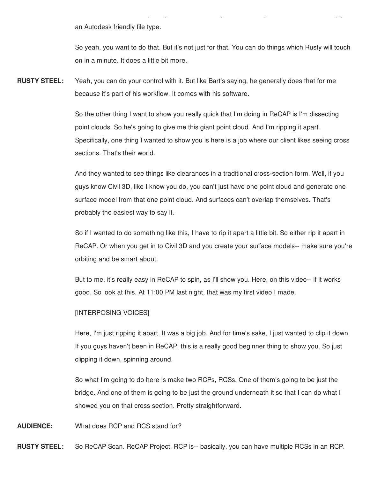an Autodesk friendly file type.

So yeah, you want to do that. But it's not just for that. You can do things which Rusty will touch on in a minute. It does a little bit more.

ReCAP can do it. It's not just-- you want to create your RCP and you RCS-- that's basically just

**RUSTY STEEL:** Yeah, you can do your control with it. But like Bart's saying, he generally does that for me because it's part of his workflow. It comes with his software.

> So the other thing I want to show you really quick that I'm doing in ReCAP is I'm dissecting point clouds. So he's going to give me this giant point cloud. And I'm ripping it apart. Specifically, one thing I wanted to show you is here is a job where our client likes seeing cross sections. That's their world.

And they wanted to see things like clearances in a traditional cross-section form. Well, if you guys know Civil 3D, like I know you do, you can't just have one point cloud and generate one surface model from that one point cloud. And surfaces can't overlap themselves. That's probably the easiest way to say it.

So if I wanted to do something like this, I have to rip it apart a little bit. So either rip it apart in ReCAP. Or when you get in to Civil 3D and you create your surface models-- make sure you're orbiting and be smart about.

But to me, it's really easy in ReCAP to spin, as I'll show you. Here, on this video-- if it works good. So look at this. At 11:00 PM last night, that was my first video I made.

## [INTERPOSING VOICES]

Here, I'm just ripping it apart. It was a big job. And for time's sake, I just wanted to clip it down. If you guys haven't been in ReCAP, this is a really good beginner thing to show you. So just clipping it down, spinning around.

So what I'm going to do here is make two RCPs, RCSs. One of them's going to be just the bridge. And one of them is going to be just the ground underneath it so that I can do what I showed you on that cross section. Pretty straightforward.

**AUDIENCE:** What does RCP and RCS stand for?

**RUSTY STEEL:** So ReCAP Scan. ReCAP Project. RCP is-- basically, you can have multiple RCSs in an RCP.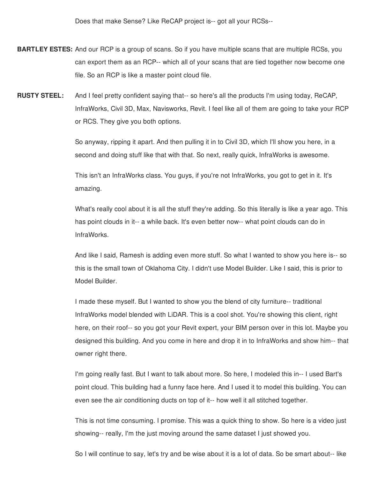Does that make Sense? Like ReCAP project is-- got all your RCSs--

- **BARTLEY ESTES:** And our RCP is a group of scans. So if you have multiple scans that are multiple RCSs, you can export them as an RCP-- which all of your scans that are tied together now become one file. So an RCP is like a master point cloud file.
- **RUSTY STEEL:** And I feel pretty confident saying that-- so here's all the products I'm using today, ReCAP, InfraWorks, Civil 3D, Max, Navisworks, Revit. I feel like all of them are going to take your RCP or RCS. They give you both options.

So anyway, ripping it apart. And then pulling it in to Civil 3D, which I'll show you here, in a second and doing stuff like that with that. So next, really quick, InfraWorks is awesome.

This isn't an InfraWorks class. You guys, if you're not InfraWorks, you got to get in it. It's amazing.

What's really cool about it is all the stuff they're adding. So this literally is like a year ago. This has point clouds in it-- a while back. It's even better now-- what point clouds can do in InfraWorks.

And like I said, Ramesh is adding even more stuff. So what I wanted to show you here is-- so this is the small town of Oklahoma City. I didn't use Model Builder. Like I said, this is prior to Model Builder.

I made these myself. But I wanted to show you the blend of city furniture-- traditional InfraWorks model blended with LiDAR. This is a cool shot. You're showing this client, right here, on their roof-- so you got your Revit expert, your BIM person over in this lot. Maybe you designed this building. And you come in here and drop it in to InfraWorks and show him-- that owner right there.

I'm going really fast. But I want to talk about more. So here, I modeled this in-- I used Bart's point cloud. This building had a funny face here. And I used it to model this building. You can even see the air conditioning ducts on top of it-- how well it all stitched together.

This is not time consuming. I promise. This was a quick thing to show. So here is a video just showing-- really, I'm the just moving around the same dataset I just showed you.

So I will continue to say, let's try and be wise about it is a lot of data. So be smart about-- like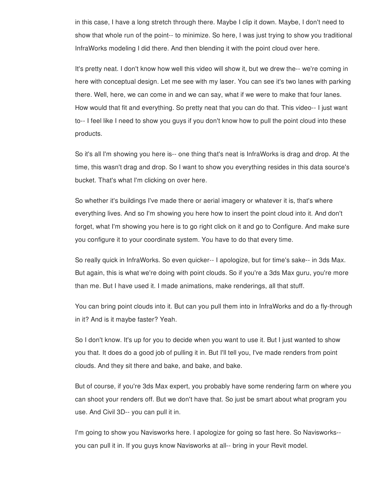in this case, I have a long stretch through there. Maybe I clip it down. Maybe, I don't need to show that whole run of the point-- to minimize. So here, I was just trying to show you traditional InfraWorks modeling I did there. And then blending it with the point cloud over here.

It's pretty neat. I don't know how well this video will show it, but we drew the-- we're coming in here with conceptual design. Let me see with my laser. You can see it's two lanes with parking there. Well, here, we can come in and we can say, what if we were to make that four lanes. How would that fit and everything. So pretty neat that you can do that. This video-- I just want to-- I feel like I need to show you guys if you don't know how to pull the point cloud into these products.

So it's all I'm showing you here is-- one thing that's neat is InfraWorks is drag and drop. At the time, this wasn't drag and drop. So I want to show you everything resides in this data source's bucket. That's what I'm clicking on over here.

So whether it's buildings I've made there or aerial imagery or whatever it is, that's where everything lives. And so I'm showing you here how to insert the point cloud into it. And don't forget, what I'm showing you here is to go right click on it and go to Configure. And make sure you configure it to your coordinate system. You have to do that every time.

So really quick in InfraWorks. So even quicker-- I apologize, but for time's sake-- in 3ds Max. But again, this is what we're doing with point clouds. So if you're a 3ds Max guru, you're more than me. But I have used it. I made animations, make renderings, all that stuff.

You can bring point clouds into it. But can you pull them into in InfraWorks and do a fly-through in it? And is it maybe faster? Yeah.

So I don't know. It's up for you to decide when you want to use it. But I just wanted to show you that. It does do a good job of pulling it in. But I'll tell you, I've made renders from point clouds. And they sit there and bake, and bake, and bake.

But of course, if you're 3ds Max expert, you probably have some rendering farm on where you can shoot your renders off. But we don't have that. So just be smart about what program you use. And Civil 3D-- you can pull it in.

I'm going to show you Navisworks here. I apologize for going so fast here. So Navisworks- you can pull it in. If you guys know Navisworks at all-- bring in your Revit model.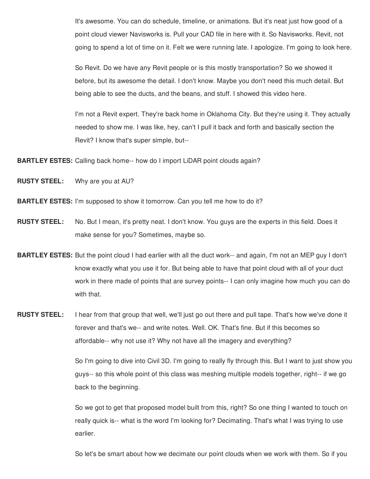It's awesome. You can do schedule, timeline, or animations. But it's neat just how good of a point cloud viewer Navisworks is. Pull your CAD file in here with it. So Navisworks. Revit, not going to spend a lot of time on it. Felt we were running late. I apologize. I'm going to look here.

So Revit. Do we have any Revit people or is this mostly transportation? So we showed it before, but its awesome the detail. I don't know. Maybe you don't need this much detail. But being able to see the ducts, and the beans, and stuff. I showed this video here.

I'm not a Revit expert. They're back home in Oklahoma City. But they're using it. They actually needed to show me. I was like, hey, can't I pull it back and forth and basically section the Revit? I know that's super simple, but--

**BARTLEY ESTES:** Calling back home-- how do I import LiDAR point clouds again?

**RUSTY STEEL:** Why are you at AU?

- **BARTLEY ESTES:** I'm supposed to show it tomorrow. Can you tell me how to do it?
- **RUSTY STEEL:** No. But I mean, it's pretty neat. I don't know. You guys are the experts in this field. Does it make sense for you? Sometimes, maybe so.
- **BARTLEY ESTES:** But the point cloud I had earlier with all the duct work-- and again, I'm not an MEP guy I don't know exactly what you use it for. But being able to have that point cloud with all of your duct work in there made of points that are survey points-- I can only imagine how much you can do with that.

**RUSTY STEEL:** I hear from that group that well, we'll just go out there and pull tape. That's how we've done it forever and that's we-- and write notes. Well. OK. That's fine. But if this becomes so affordable-- why not use it? Why not have all the imagery and everything?

> So I'm going to dive into Civil 3D. I'm going to really fly through this. But I want to just show you guys-- so this whole point of this class was meshing multiple models together, right-- if we go back to the beginning.

So we got to get that proposed model built from this, right? So one thing I wanted to touch on really quick is-- what is the word I'm looking for? Decimating. That's what I was trying to use earlier.

So let's be smart about how we decimate our point clouds when we work with them. So if you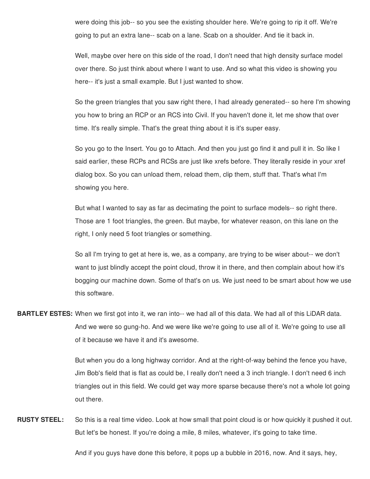were doing this job-- so you see the existing shoulder here. We're going to rip it off. We're going to put an extra lane-- scab on a lane. Scab on a shoulder. And tie it back in.

Well, maybe over here on this side of the road, I don't need that high density surface model over there. So just think about where I want to use. And so what this video is showing you here-- it's just a small example. But I just wanted to show.

So the green triangles that you saw right there, I had already generated-- so here I'm showing you how to bring an RCP or an RCS into Civil. If you haven't done it, let me show that over time. It's really simple. That's the great thing about it is it's super easy.

So you go to the Insert. You go to Attach. And then you just go find it and pull it in. So like I said earlier, these RCPs and RCSs are just like xrefs before. They literally reside in your xref dialog box. So you can unload them, reload them, clip them, stuff that. That's what I'm showing you here.

But what I wanted to say as far as decimating the point to surface models-- so right there. Those are 1 foot triangles, the green. But maybe, for whatever reason, on this lane on the right, I only need 5 foot triangles or something.

So all I'm trying to get at here is, we, as a company, are trying to be wiser about-- we don't want to just blindly accept the point cloud, throw it in there, and then complain about how it's bogging our machine down. Some of that's on us. We just need to be smart about how we use this software.

**BARTLEY ESTES:** When we first got into it, we ran into-- we had all of this data. We had all of this LiDAR data. And we were so gung-ho. And we were like we're going to use all of it. We're going to use all of it because we have it and it's awesome.

> But when you do a long highway corridor. And at the right-of-way behind the fence you have, Jim Bob's field that is flat as could be, I really don't need a 3 inch triangle. I don't need 6 inch triangles out in this field. We could get way more sparse because there's not a whole lot going out there.

**RUSTY STEEL:** So this is a real time video. Look at how small that point cloud is or how quickly it pushed it out. But let's be honest. If you're doing a mile, 8 miles, whatever, it's going to take time.

And if you guys have done this before, it pops up a bubble in 2016, now. And it says, hey,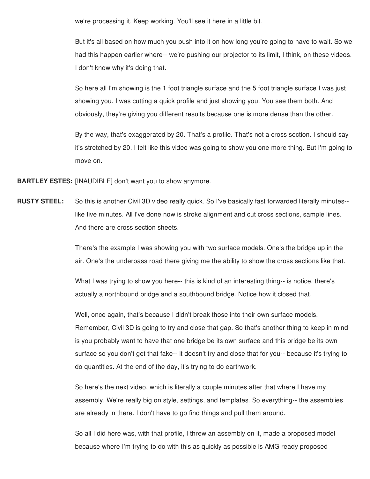we're processing it. Keep working. You'll see it here in a little bit.

But it's all based on how much you push into it on how long you're going to have to wait. So we had this happen earlier where-- we're pushing our projector to its limit, I think, on these videos. I don't know why it's doing that.

So here all I'm showing is the 1 foot triangle surface and the 5 foot triangle surface I was just showing you. I was cutting a quick profile and just showing you. You see them both. And obviously, they're giving you different results because one is more dense than the other.

By the way, that's exaggerated by 20. That's a profile. That's not a cross section. I should say it's stretched by 20. I felt like this video was going to show you one more thing. But I'm going to move on.

**BARTLEY ESTES:** [INAUDIBLE] don't want you to show anymore.

**RUSTY STEEL:** So this is another Civil 3D video really quick. So I've basically fast forwarded literally minutes- like five minutes. All I've done now is stroke alignment and cut cross sections, sample lines. And there are cross section sheets.

> There's the example I was showing you with two surface models. One's the bridge up in the air. One's the underpass road there giving me the ability to show the cross sections like that.

What I was trying to show you here-- this is kind of an interesting thing-- is notice, there's actually a northbound bridge and a southbound bridge. Notice how it closed that.

Well, once again, that's because I didn't break those into their own surface models. Remember, Civil 3D is going to try and close that gap. So that's another thing to keep in mind is you probably want to have that one bridge be its own surface and this bridge be its own surface so you don't get that fake-- it doesn't try and close that for you-- because it's trying to do quantities. At the end of the day, it's trying to do earthwork.

So here's the next video, which is literally a couple minutes after that where I have my assembly. We're really big on style, settings, and templates. So everything-- the assemblies are already in there. I don't have to go find things and pull them around.

So all I did here was, with that profile, I threw an assembly on it, made a proposed model because where I'm trying to do with this as quickly as possible is AMG ready proposed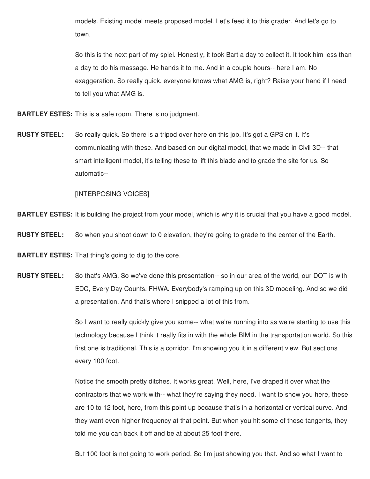models. Existing model meets proposed model. Let's feed it to this grader. And let's go to town.

So this is the next part of my spiel. Honestly, it took Bart a day to collect it. It took him less than a day to do his massage. He hands it to me. And in a couple hours-- here I am. No exaggeration. So really quick, everyone knows what AMG is, right? Raise your hand if I need to tell you what AMG is.

**BARTLEY ESTES:** This is a safe room. There is no judgment.

**RUSTY STEEL:** So really quick. So there is a tripod over here on this job. It's got a GPS on it. It's communicating with these. And based on our digital model, that we made in Civil 3D-- that smart intelligent model, it's telling these to lift this blade and to grade the site for us. So automatic--

[INTERPOSING VOICES]

**BARTLEY ESTES:** It is building the project from your model, which is why it is crucial that you have a good model.

**RUSTY STEEL:** So when you shoot down to 0 elevation, they're going to grade to the center of the Earth.

**BARTLEY ESTES:** That thing's going to dig to the core.

**RUSTY STEEL:** So that's AMG. So we've done this presentation-- so in our area of the world, our DOT is with EDC, Every Day Counts. FHWA. Everybody's ramping up on this 3D modeling. And so we did a presentation. And that's where I snipped a lot of this from.

> So I want to really quickly give you some-- what we're running into as we're starting to use this technology because I think it really fits in with the whole BIM in the transportation world. So this first one is traditional. This is a corridor. I'm showing you it in a different view. But sections every 100 foot.

Notice the smooth pretty ditches. It works great. Well, here, I've draped it over what the contractors that we work with-- what they're saying they need. I want to show you here, these are 10 to 12 foot, here, from this point up because that's in a horizontal or vertical curve. And they want even higher frequency at that point. But when you hit some of these tangents, they told me you can back it off and be at about 25 foot there.

But 100 foot is not going to work period. So I'm just showing you that. And so what I want to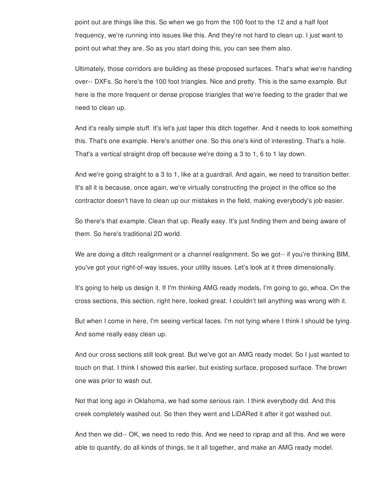point out are things like this. So when we go from the 100 foot to the 12 and a half foot frequency, we're running into issues like this. And they're not hard to clean up. I just want to point out what they are. So as you start doing this, you can see them also.

Ultimately, those corridors are building as these proposed surfaces. That's what we're handing over-- DXFs. So here's the 100 foot triangles. Nice and pretty. This is the same example. But here is the more frequent or dense propose triangles that we're feeding to the grader that we need to clean up.

And it's really simple stuff. It's let's just taper this ditch together. And it needs to look something this. That's one example. Here's another one. So this one's kind of interesting. That's a hole. That's a vertical straight drop off because we're doing a 3 to 1, 6 to 1 lay down.

And we're going straight to a 3 to 1, like at a guardrail. And again, we need to transition better. It's all it is because, once again, we're virtually constructing the project in the office so the contractor doesn't have to clean up our mistakes in the field, making everybody's job easier.

So there's that example. Clean that up. Really easy. It's just finding them and being aware of them. So here's traditional 2D world.

We are doing a ditch realignment or a channel realignment. So we got-- if you're thinking BIM, you've got your right-of-way issues, your utility issues. Let's look at it three dimensionally.

It's going to help us design it. If I'm thinking AMG ready models, I'm going to go, whoa. On the cross sections, this section, right here, looked great. I couldn't tell anything was wrong with it.

But when I come in here, I'm seeing vertical faces. I'm not tying where I think I should be tying. And some really easy clean up.

And our cross sections still look great. But we've got an AMG ready model. So I just wanted to touch on that. I think I showed this earlier, but existing surface, proposed surface. The brown one was prior to wash out.

Not that long ago in Oklahoma, we had some serious rain. I think everybody did. And this creek completely washed out. So then they went and LiDARed it after it got washed out.

And then we did-- OK, we need to redo this. And we need to riprap and all this. And we were able to quantify, do all kinds of things, tie it all together, and make an AMG ready model.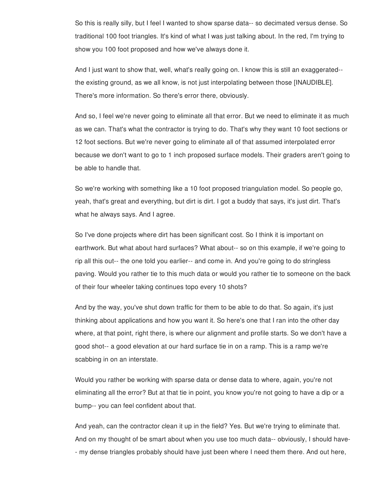So this is really silly, but I feel I wanted to show sparse data-- so decimated versus dense. So traditional 100 foot triangles. It's kind of what I was just talking about. In the red, I'm trying to show you 100 foot proposed and how we've always done it.

And I just want to show that, well, what's really going on. I know this is still an exaggerated- the existing ground, as we all know, is not just interpolating between those [INAUDIBLE]. There's more information. So there's error there, obviously.

And so, I feel we're never going to eliminate all that error. But we need to eliminate it as much as we can. That's what the contractor is trying to do. That's why they want 10 foot sections or 12 foot sections. But we're never going to eliminate all of that assumed interpolated error because we don't want to go to 1 inch proposed surface models. Their graders aren't going to be able to handle that.

So we're working with something like a 10 foot proposed triangulation model. So people go, yeah, that's great and everything, but dirt is dirt. I got a buddy that says, it's just dirt. That's what he always says. And I agree.

So I've done projects where dirt has been significant cost. So I think it is important on earthwork. But what about hard surfaces? What about-- so on this example, if we're going to rip all this out-- the one told you earlier-- and come in. And you're going to do stringless paving. Would you rather tie to this much data or would you rather tie to someone on the back of their four wheeler taking continues topo every 10 shots?

And by the way, you've shut down traffic for them to be able to do that. So again, it's just thinking about applications and how you want it. So here's one that I ran into the other day where, at that point, right there, is where our alignment and profile starts. So we don't have a good shot-- a good elevation at our hard surface tie in on a ramp. This is a ramp we're scabbing in on an interstate.

Would you rather be working with sparse data or dense data to where, again, you're not eliminating all the error? But at that tie in point, you know you're not going to have a dip or a bump-- you can feel confident about that.

And yeah, can the contractor clean it up in the field? Yes. But we're trying to eliminate that. And on my thought of be smart about when you use too much data-- obviously, I should have- - my dense triangles probably should have just been where I need them there. And out here,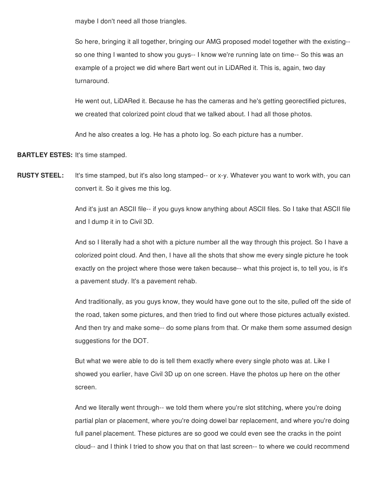maybe I don't need all those triangles.

So here, bringing it all together, bringing our AMG proposed model together with the existing- so one thing I wanted to show you guys-- I know we're running late on time-- So this was an example of a project we did where Bart went out in LiDARed it. This is, again, two day turnaround.

He went out, LiDARed it. Because he has the cameras and he's getting georectified pictures, we created that colorized point cloud that we talked about. I had all those photos.

And he also creates a log. He has a photo log. So each picture has a number.

**BARTLEY ESTES:** It's time stamped.

**RUSTY STEEL:** It's time stamped, but it's also long stamped-- or x-y. Whatever you want to work with, you can convert it. So it gives me this log.

> And it's just an ASCII file-- if you guys know anything about ASCII files. So I take that ASCII file and I dump it in to Civil 3D.

> And so I literally had a shot with a picture number all the way through this project. So I have a colorized point cloud. And then, I have all the shots that show me every single picture he took exactly on the project where those were taken because-- what this project is, to tell you, is it's a pavement study. It's a pavement rehab.

And traditionally, as you guys know, they would have gone out to the site, pulled off the side of the road, taken some pictures, and then tried to find out where those pictures actually existed. And then try and make some-- do some plans from that. Or make them some assumed design suggestions for the DOT.

But what we were able to do is tell them exactly where every single photo was at. Like I showed you earlier, have Civil 3D up on one screen. Have the photos up here on the other screen.

And we literally went through-- we told them where you're slot stitching, where you're doing partial plan or placement, where you're doing dowel bar replacement, and where you're doing full panel placement. These pictures are so good we could even see the cracks in the point cloud-- and I think I tried to show you that on that last screen-- to where we could recommend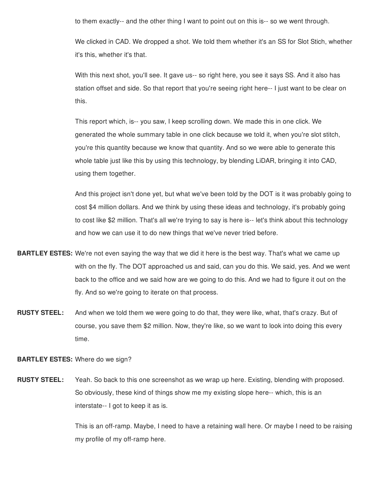to them exactly-- and the other thing I want to point out on this is-- so we went through.

We clicked in CAD. We dropped a shot. We told them whether it's an SS for Slot Stich, whether it's this, whether it's that.

With this next shot, you'll see. It gave us-- so right here, you see it says SS. And it also has station offset and side. So that report that you're seeing right here-- I just want to be clear on this.

This report which, is-- you saw, I keep scrolling down. We made this in one click. We generated the whole summary table in one click because we told it, when you're slot stitch, you're this quantity because we know that quantity. And so we were able to generate this whole table just like this by using this technology, by blending LiDAR, bringing it into CAD, using them together.

And this project isn't done yet, but what we've been told by the DOT is it was probably going to cost \$4 million dollars. And we think by using these ideas and technology, it's probably going to cost like \$2 million. That's all we're trying to say is here is-- let's think about this technology and how we can use it to do new things that we've never tried before.

- **BARTLEY ESTES:** We're not even saying the way that we did it here is the best way. That's what we came up with on the fly. The DOT approached us and said, can you do this. We said, yes. And we went back to the office and we said how are we going to do this. And we had to figure it out on the fly. And so we're going to iterate on that process.
- **RUSTY STEEL:** And when we told them we were going to do that, they were like, what, that's crazy. But of course, you save them \$2 million. Now, they're like, so we want to look into doing this every time.

## **BARTLEY ESTES:** Where do we sign?

**RUSTY STEEL:** Yeah. So back to this one screenshot as we wrap up here. Existing, blending with proposed. So obviously, these kind of things show me my existing slope here-- which, this is an interstate-- I got to keep it as is.

> This is an off-ramp. Maybe, I need to have a retaining wall here. Or maybe I need to be raising my profile of my off-ramp here.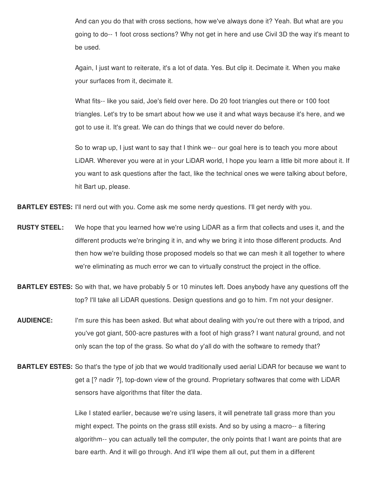And can you do that with cross sections, how we've always done it? Yeah. But what are you going to do-- 1 foot cross sections? Why not get in here and use Civil 3D the way it's meant to be used.

Again, I just want to reiterate, it's a lot of data. Yes. But clip it. Decimate it. When you make your surfaces from it, decimate it.

What fits-- like you said, Joe's field over here. Do 20 foot triangles out there or 100 foot triangles. Let's try to be smart about how we use it and what ways because it's here, and we got to use it. It's great. We can do things that we could never do before.

So to wrap up, I just want to say that I think we-- our goal here is to teach you more about LiDAR. Wherever you were at in your LiDAR world, I hope you learn a little bit more about it. If you want to ask questions after the fact, like the technical ones we were talking about before, hit Bart up, please.

**BARTLEY ESTES:** I'll nerd out with you. Come ask me some nerdy questions. I'll get nerdy with you.

- **RUSTY STEEL:** We hope that you learned how we're using LiDAR as a firm that collects and uses it, and the different products we're bringing it in, and why we bring it into those different products. And then how we're building those proposed models so that we can mesh it all together to where we're eliminating as much error we can to virtually construct the project in the office.
- **BARTLEY ESTES:** So with that, we have probably 5 or 10 minutes left. Does anybody have any questions off the top? I'll take all LiDAR questions. Design questions and go to him. I'm not your designer.
- **AUDIENCE:** I'm sure this has been asked. But what about dealing with you're out there with a tripod, and you've got giant, 500-acre pastures with a foot of high grass? I want natural ground, and not only scan the top of the grass. So what do y'all do with the software to remedy that?
- **BARTLEY ESTES:** So that's the type of job that we would traditionally used aerial LiDAR for because we want to get a [? nadir ?], top-down view of the ground. Proprietary softwares that come with LiDAR sensors have algorithms that filter the data.

Like I stated earlier, because we're using lasers, it will penetrate tall grass more than you might expect. The points on the grass still exists. And so by using a macro-- a filtering algorithm-- you can actually tell the computer, the only points that I want are points that are bare earth. And it will go through. And it'll wipe them all out, put them in a different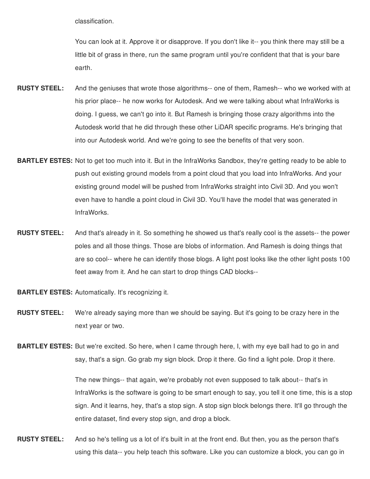classification.

You can look at it. Approve it or disapprove. If you don't like it-- you think there may still be a little bit of grass in there, run the same program until you're confident that that is your bare earth.

- **RUSTY STEEL:** And the geniuses that wrote those algorithms-- one of them, Ramesh-- who we worked with at his prior place-- he now works for Autodesk. And we were talking about what InfraWorks is doing. I guess, we can't go into it. But Ramesh is bringing those crazy algorithms into the Autodesk world that he did through these other LiDAR specific programs. He's bringing that into our Autodesk world. And we're going to see the benefits of that very soon.
- **BARTLEY ESTES:** Not to get too much into it. But in the InfraWorks Sandbox, they're getting ready to be able to push out existing ground models from a point cloud that you load into InfraWorks. And your existing ground model will be pushed from InfraWorks straight into Civil 3D. And you won't even have to handle a point cloud in Civil 3D. You'll have the model that was generated in InfraWorks.
- **RUSTY STEEL:** And that's already in it. So something he showed us that's really cool is the assets-- the power poles and all those things. Those are blobs of information. And Ramesh is doing things that are so cool-- where he can identify those blogs. A light post looks like the other light posts 100 feet away from it. And he can start to drop things CAD blocks--

**BARTLEY ESTES:** Automatically. It's recognizing it.

**RUSTY STEEL:** We're already saying more than we should be saying. But it's going to be crazy here in the next year or two.

**BARTLEY ESTES:** But we're excited. So here, when I came through here, I, with my eye ball had to go in and say, that's a sign. Go grab my sign block. Drop it there. Go find a light pole. Drop it there.

> The new things-- that again, we're probably not even supposed to talk about-- that's in InfraWorks is the software is going to be smart enough to say, you tell it one time, this is a stop sign. And it learns, hey, that's a stop sign. A stop sign block belongs there. It'll go through the entire dataset, find every stop sign, and drop a block.

**RUSTY STEEL:** And so he's telling us a lot of it's built in at the front end. But then, you as the person that's using this data-- you help teach this software. Like you can customize a block, you can go in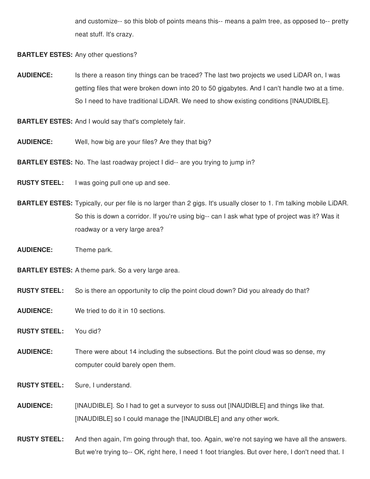and customize-- so this blob of points means this-- means a palm tree, as opposed to-- pretty neat stuff. It's crazy.

**BARTLEY ESTES:** Any other questions?

**AUDIENCE:** Is there a reason tiny things can be traced? The last two projects we used LiDAR on, I was getting files that were broken down into 20 to 50 gigabytes. And I can't handle two at a time. So I need to have traditional LiDAR. We need to show existing conditions [INAUDIBLE].

**BARTLEY ESTES:** And I would say that's completely fair.

**AUDIENCE:** Well, how big are your files? Are they that big?

**BARTLEY ESTES:** No. The last roadway project I did-- are you trying to jump in?

**RUSTY STEEL:** I was going pull one up and see.

**BARTLEY ESTES:** Typically, our per file is no larger than 2 gigs. It's usually closer to 1. I'm talking mobile LiDAR. So this is down a corridor. If you're using big-- can I ask what type of project was it? Was it roadway or a very large area?

**AUDIENCE:** Theme park.

**BARTLEY ESTES:** A theme park. So a very large area.

- **RUSTY STEEL:** So is there an opportunity to clip the point cloud down? Did you already do that?
- **AUDIENCE:** We tried to do it in 10 sections.
- **RUSTY STEEL:** You did?

**AUDIENCE:** There were about 14 including the subsections. But the point cloud was so dense, my computer could barely open them.

**RUSTY STEEL:** Sure, I understand.

**AUDIENCE:** [INAUDIBLE]. So I had to get a surveyor to suss out [INAUDIBLE] and things like that. [INAUDIBLE] so I could manage the [INAUDIBLE] and any other work.

**RUSTY STEEL:** And then again, I'm going through that, too. Again, we're not saying we have all the answers. But we're trying to-- OK, right here, I need 1 foot triangles. But over here, I don't need that. I